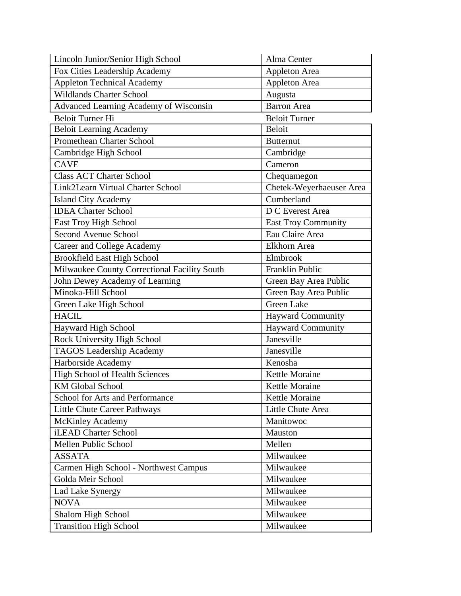| Lincoln Junior/Senior High School            | Alma Center                |
|----------------------------------------------|----------------------------|
| Fox Cities Leadership Academy                | Appleton Area              |
| <b>Appleton Technical Academy</b>            | <b>Appleton Area</b>       |
| <b>Wildlands Charter School</b>              | Augusta                    |
| Advanced Learning Academy of Wisconsin       | <b>Barron</b> Area         |
| <b>Beloit Turner Hi</b>                      | <b>Beloit Turner</b>       |
| <b>Beloit Learning Academy</b>               | <b>Beloit</b>              |
| Promethean Charter School                    | <b>Butternut</b>           |
| Cambridge High School                        | Cambridge                  |
| <b>CAVE</b>                                  | Cameron                    |
| <b>Class ACT Charter School</b>              | Chequamegon                |
| Link2Learn Virtual Charter School            | Chetek-Weyerhaeuser Area   |
| <b>Island City Academy</b>                   | Cumberland                 |
| <b>IDEA Charter School</b>                   | D C Everest Area           |
| East Troy High School                        | <b>East Troy Community</b> |
| <b>Second Avenue School</b>                  | Eau Claire Area            |
| Career and College Academy                   | Elkhorn Area               |
| <b>Brookfield East High School</b>           | Elmbrook                   |
| Milwaukee County Correctional Facility South | Franklin Public            |
| John Dewey Academy of Learning               | Green Bay Area Public      |
| Minoka-Hill School                           | Green Bay Area Public      |
| Green Lake High School                       | <b>Green Lake</b>          |
| <b>HACIL</b>                                 | <b>Hayward Community</b>   |
| Hayward High School                          | Hayward Community          |
| Rock University High School                  | Janesville                 |
| <b>TAGOS Leadership Academy</b>              | Janesville                 |
| Harborside Academy                           | Kenosha                    |
| High School of Health Sciences               | Kettle Moraine             |
| <b>KM Global School</b>                      | Kettle Moraine             |
| School for Arts and Performance              | Kettle Moraine             |
| <b>Little Chute Career Pathways</b>          | Little Chute Area          |
| <b>McKinley Academy</b>                      | Manitowoc                  |
| iLEAD Charter School                         | Mauston                    |
| Mellen Public School                         | Mellen                     |
| <b>ASSATA</b>                                | Milwaukee                  |
| Carmen High School - Northwest Campus        | Milwaukee                  |
| Golda Meir School                            | Milwaukee                  |
| Lad Lake Synergy                             | Milwaukee                  |
| <b>NOVA</b>                                  | Milwaukee                  |
| Shalom High School                           | Milwaukee                  |
| <b>Transition High School</b>                | Milwaukee                  |